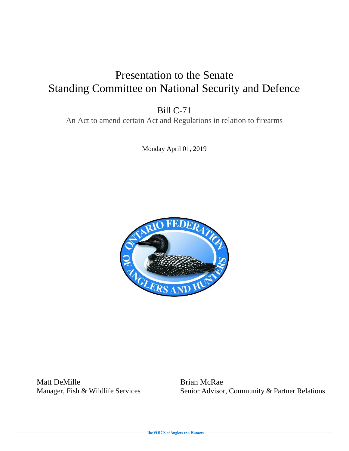#### Presentation to the Senate Standing Committee on National Security and Defence

Bill C-71

An Act to amend certain Act and Regulations in relation to firearms

Monday April 01, 2019



Matt DeMille Brian McRae

Manager, Fish & Wildlife Services Senior Advisor, Community & Partner Relations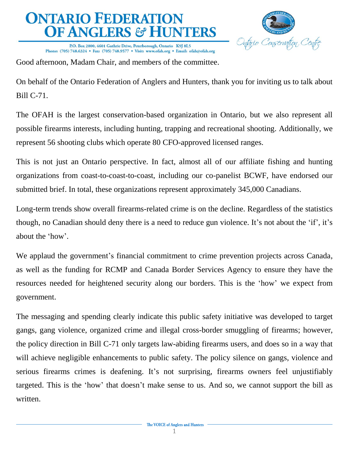

P.O. Box 2800, 4601 Guthrie Drive, Peterborough, Ontario K9J 8L5 Phone: (705) 748.6324 • Fax: (705) 748.9577 • Visit: www.ofah.org • Email: ofah@ofah.org

Good afternoon, Madam Chair, and members of the committee.

On behalf of the Ontario Federation of Anglers and Hunters, thank you for inviting us to talk about Bill C-71.

The OFAH is the largest conservation-based organization in Ontario, but we also represent all possible firearms interests, including hunting, trapping and recreational shooting. Additionally, we represent 56 shooting clubs which operate 80 CFO-approved licensed ranges.

This is not just an Ontario perspective. In fact, almost all of our affiliate fishing and hunting organizations from coast-to-coast-to-coast, including our co-panelist BCWF, have endorsed our submitted brief. In total, these organizations represent approximately 345,000 Canadians.

Long-term trends show overall firearms-related crime is on the decline. Regardless of the statistics though, no Canadian should deny there is a need to reduce gun violence. It's not about the 'if', it's about the 'how'.

We applaud the government's financial commitment to crime prevention projects across Canada, as well as the funding for RCMP and Canada Border Services Agency to ensure they have the resources needed for heightened security along our borders. This is the 'how' we expect from government.

The messaging and spending clearly indicate this public safety initiative was developed to target gangs, gang violence, organized crime and illegal cross-border smuggling of firearms; however, the policy direction in Bill C-71 only targets law-abiding firearms users, and does so in a way that will achieve negligible enhancements to public safety. The policy silence on gangs, violence and serious firearms crimes is deafening. It's not surprising, firearms owners feel unjustifiably targeted. This is the 'how' that doesn't make sense to us. And so, we cannot support the bill as written.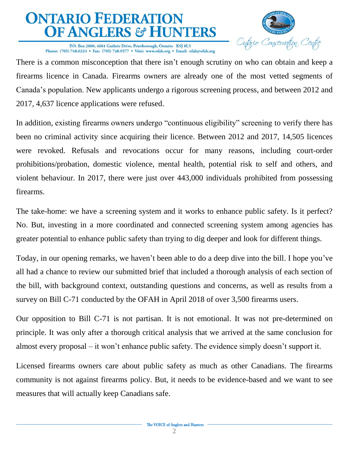

P.O. Box 2800, 4601 Guthrie Drive, Peterborough, Ontario K9J 8L5 Phone: (705) 748.6324 • Fax: (705) 748.9577 • Visit: www.ofah.org • Email: ofah@ofah.org

There is a common misconception that there isn't enough scrutiny on who can obtain and keep a firearms licence in Canada. Firearms owners are already one of the most vetted segments of Canada's population. New applicants undergo a rigorous screening process, and between 2012 and 2017, 4,637 licence applications were refused.

In addition, existing firearms owners undergo "continuous eligibility" screening to verify there has been no criminal activity since acquiring their licence. Between 2012 and 2017, 14,505 licences were revoked. Refusals and revocations occur for many reasons, including court-order prohibitions/probation, domestic violence, mental health, potential risk to self and others, and violent behaviour. In 2017, there were just over 443,000 individuals prohibited from possessing firearms.

The take-home: we have a screening system and it works to enhance public safety. Is it perfect? No. But, investing in a more coordinated and connected screening system among agencies has greater potential to enhance public safety than trying to dig deeper and look for different things.

Today, in our opening remarks, we haven't been able to do a deep dive into the bill. I hope you've all had a chance to review our submitted brief that included a thorough analysis of each section of the bill, with background context, outstanding questions and concerns, as well as results from a survey on Bill C-71 conducted by the OFAH in April 2018 of over 3,500 firearms users.

Our opposition to Bill C-71 is not partisan. It is not emotional. It was not pre-determined on principle. It was only after a thorough critical analysis that we arrived at the same conclusion for almost every proposal – it won't enhance public safety. The evidence simply doesn't support it.

Licensed firearms owners care about public safety as much as other Canadians. The firearms community is not against firearms policy. But, it needs to be evidence-based and we want to see measures that will actually keep Canadians safe.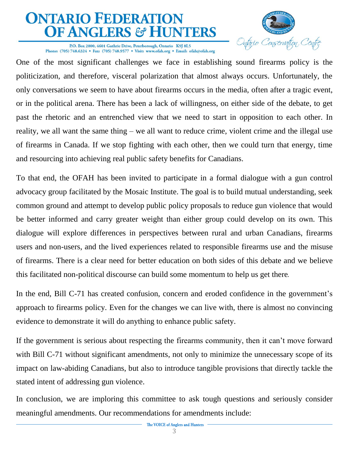

P.O. Box 2800, 4601 Guthrie Drive, Peterborough, Ontario K9J 8L5 Phone: (705) 748.6324 • Fax: (705) 748.9577 • Visit: www.ofah.org • Email: ofah@ofah.org

One of the most significant challenges we face in establishing sound firearms policy is the politicization, and therefore, visceral polarization that almost always occurs. Unfortunately, the only conversations we seem to have about firearms occurs in the media, often after a tragic event, or in the political arena. There has been a lack of willingness, on either side of the debate, to get past the rhetoric and an entrenched view that we need to start in opposition to each other. In reality, we all want the same thing – we all want to reduce crime, violent crime and the illegal use of firearms in Canada. If we stop fighting with each other, then we could turn that energy, time and resourcing into achieving real public safety benefits for Canadians.

To that end, the OFAH has been invited to participate in a formal dialogue with a gun control advocacy group facilitated by the Mosaic Institute. The goal is to build mutual understanding, seek common ground and attempt to develop public policy proposals to reduce gun violence that would be better informed and carry greater weight than either group could develop on its own. This dialogue will explore differences in perspectives between rural and urban Canadians, firearms users and non-users, and the lived experiences related to responsible firearms use and the misuse of firearms. There is a clear need for better education on both sides of this debate and we believe this facilitated non-political discourse can build some momentum to help us get there*.* 

In the end, Bill C-71 has created confusion, concern and eroded confidence in the government's approach to firearms policy. Even for the changes we can live with, there is almost no convincing evidence to demonstrate it will do anything to enhance public safety.

If the government is serious about respecting the firearms community, then it can't move forward with Bill C-71 without significant amendments, not only to minimize the unnecessary scope of its impact on law-abiding Canadians, but also to introduce tangible provisions that directly tackle the stated intent of addressing gun violence.

In conclusion, we are imploring this committee to ask tough questions and seriously consider meaningful amendments. Our recommendations for amendments include: